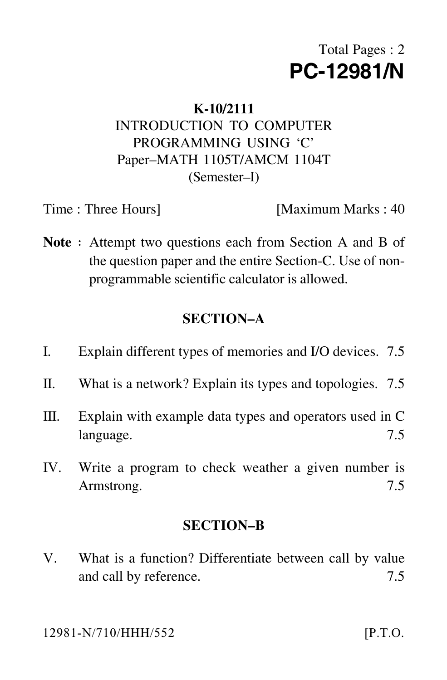# Total Pages : 2 **PC-12981/N**

#### **K-10/2111**

## INTRODUCTION TO COMPUTER PROGRAMMING USING 'C' Paper–MATH 1105T/AMCM 1104T (Semester–I)

Time : Three Hours] [Maximum Marks : 40]

Note : Attempt two questions each from Section A and B of the question paper and the entire Section-C. Use of nonprogrammable scientific calculator is allowed.

## **SECTION–A**

- I. Explain different types of memories and I/O devices. 7.5
- II. What is a network? Explain its types and topologies. 7.5
- III. Explain with example data types and operators used in C language. 7.5
- IV. Write a program to check weather a given number is Armstrong. 7.5

### **SECTION–B**

V. What is a function? Differentiate between call by value and call by reference.  $7.5$